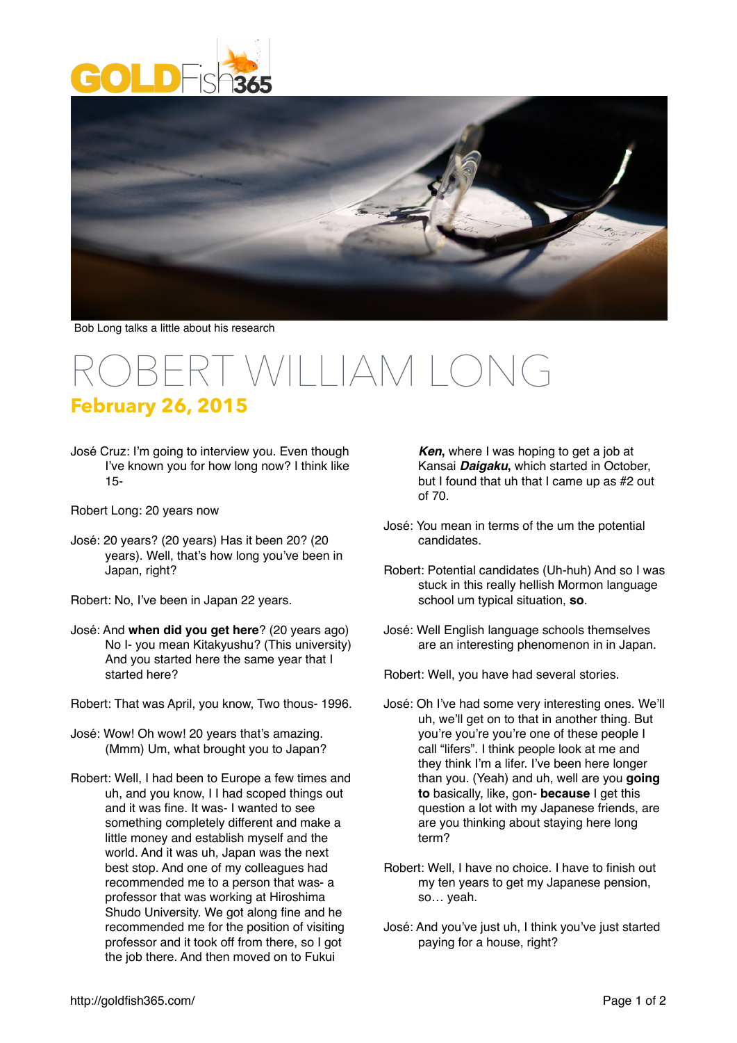



Bob Long talks a little about his research

## $\sqrt{2}$ **February 26, 2015**

José Cruz: I'm going to interview you. Even though I've known you for how long now? I think like 15-

Robert Long: 20 years now

- José: 20 years? (20 years) Has it been 20? (20 years). Well, that's how long you've been in Japan, right?
- Robert: No, I've been in Japan 22 years.
- José: And **when did you get here**? (20 years ago) No I- you mean Kitakyushu? (This university) And you started here the same year that I started here?
- Robert: That was April, you know, Two thous- 1996.
- José: Wow! Oh wow! 20 years that's amazing. (Mmm) Um, what brought you to Japan?
- Robert: Well, I had been to Europe a few times and uh, and you know, I I had scoped things out and it was fine. It was- I wanted to see something completely different and make a little money and establish myself and the world. And it was uh, Japan was the next best stop. And one of my colleagues had recommended me to a person that was- a professor that was working at Hiroshima Shudo University. We got along fine and he recommended me for the position of visiting professor and it took off from there, so I got the job there. And then moved on to Fukui

*Ken*, where I was hoping to get a job at Kansai *Daigaku***,** which started in October, but I found that uh that I came up as #2 out of 70.

- José: You mean in terms of the um the potential candidates.
- Robert: Potential candidates (Uh-huh) And so I was stuck in this really hellish Mormon language school um typical situation, **so**.
- José: Well English language schools themselves are an interesting phenomenon in in Japan.

Robert: Well, you have had several stories.

- José: Oh I've had some very interesting ones. We'll uh, we'll get on to that in another thing. But you're you're you're one of these people I call "lifers". I think people look at me and they think I'm a lifer. I've been here longer than you. (Yeah) and uh, well are you **going to** basically, like, gon- **because** I get this question a lot with my Japanese friends, are are you thinking about staying here long term?
- Robert: Well, I have no choice. I have to finish out my ten years to get my Japanese pension, so… yeah.
- José: And you've just uh, I think you've just started paying for a house, right?